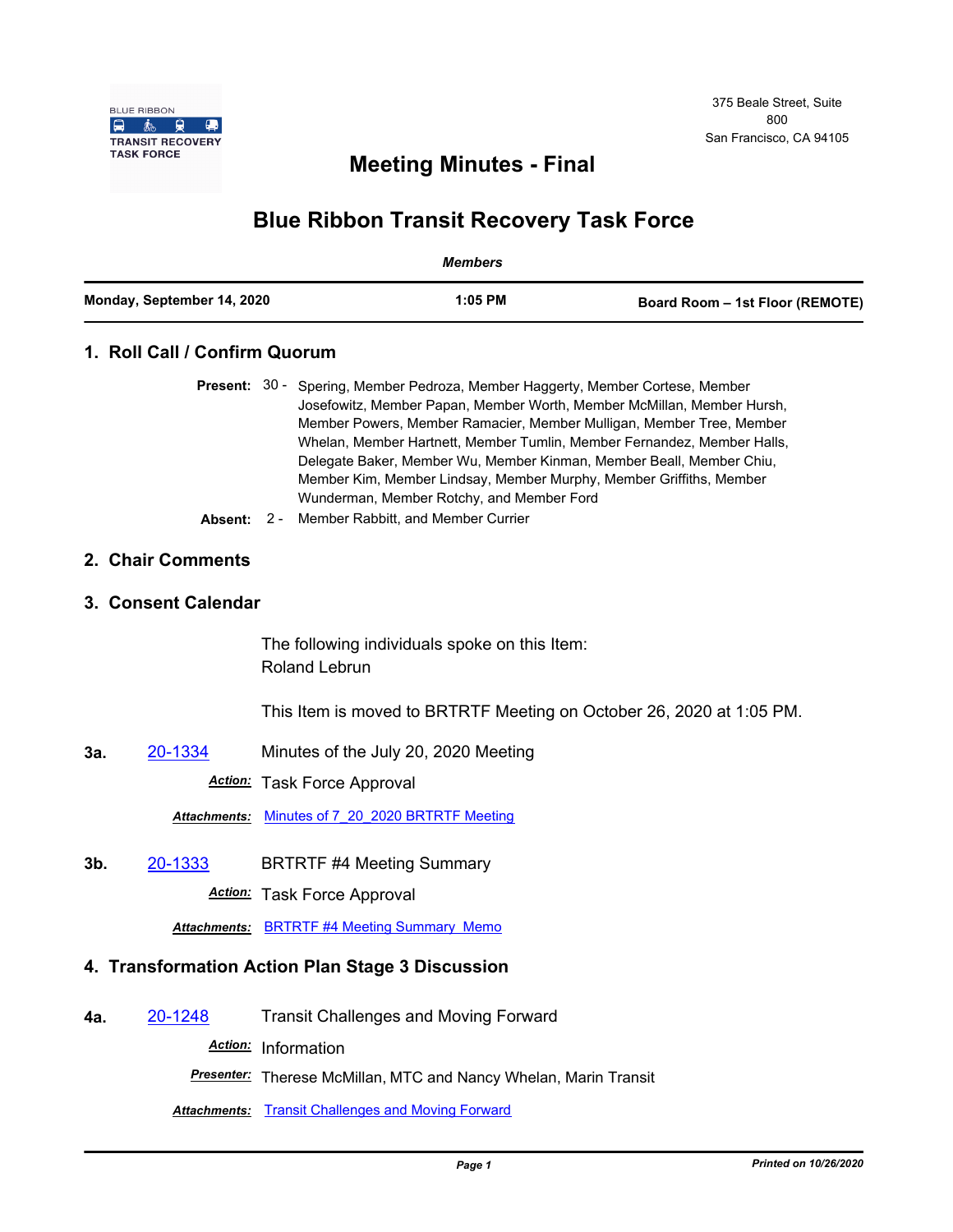

## **Meeting Minutes - Final**

## **Blue Ribbon Transit Recovery Task Force**

| <b>Members</b>             |                                                  |                                                                                                                                                                                                                                                                                                                                                                                                                                                                                                                                                        |                                 |  |
|----------------------------|--------------------------------------------------|--------------------------------------------------------------------------------------------------------------------------------------------------------------------------------------------------------------------------------------------------------------------------------------------------------------------------------------------------------------------------------------------------------------------------------------------------------------------------------------------------------------------------------------------------------|---------------------------------|--|
| Monday, September 14, 2020 |                                                  | 1:05 PM                                                                                                                                                                                                                                                                                                                                                                                                                                                                                                                                                | Board Room - 1st Floor (REMOTE) |  |
|                            | 1. Roll Call / Confirm Quorum                    |                                                                                                                                                                                                                                                                                                                                                                                                                                                                                                                                                        |                                 |  |
|                            | Absent:                                          | Present: 30 - Spering, Member Pedroza, Member Haggerty, Member Cortese, Member<br>Josefowitz, Member Papan, Member Worth, Member McMillan, Member Hursh,<br>Member Powers, Member Ramacier, Member Mulligan, Member Tree, Member<br>Whelan, Member Hartnett, Member Tumlin, Member Fernandez, Member Halls,<br>Delegate Baker, Member Wu, Member Kinman, Member Beall, Member Chiu,<br>Member Kim, Member Lindsay, Member Murphy, Member Griffiths, Member<br>Wunderman, Member Rotchy, and Member Ford<br>Member Rabbitt, and Member Currier<br>$2 -$ |                                 |  |
|                            | 2. Chair Comments                                |                                                                                                                                                                                                                                                                                                                                                                                                                                                                                                                                                        |                                 |  |
|                            | 3. Consent Calendar                              |                                                                                                                                                                                                                                                                                                                                                                                                                                                                                                                                                        |                                 |  |
|                            |                                                  | The following individuals spoke on this Item:<br><b>Roland Lebrun</b>                                                                                                                                                                                                                                                                                                                                                                                                                                                                                  |                                 |  |
|                            |                                                  | This Item is moved to BRTRTF Meeting on October 26, 2020 at 1:05 PM.                                                                                                                                                                                                                                                                                                                                                                                                                                                                                   |                                 |  |
| За.                        | 20-1334                                          | Minutes of the July 20, 2020 Meeting                                                                                                                                                                                                                                                                                                                                                                                                                                                                                                                   |                                 |  |
|                            | <u> Action:</u>                                  | <b>Task Force Approval</b>                                                                                                                                                                                                                                                                                                                                                                                                                                                                                                                             |                                 |  |
|                            | <b>Attachments:</b>                              | Minutes of 7 20 2020 BRTRTF Meeting                                                                                                                                                                                                                                                                                                                                                                                                                                                                                                                    |                                 |  |
| 3b.                        | 20-1333                                          | <b>BRTRTF #4 Meeting Summary</b>                                                                                                                                                                                                                                                                                                                                                                                                                                                                                                                       |                                 |  |
|                            | Action:                                          | <b>Task Force Approval</b>                                                                                                                                                                                                                                                                                                                                                                                                                                                                                                                             |                                 |  |
|                            |                                                  | <b>Attachments: BRTRTF #4 Meeting Summary Memo</b>                                                                                                                                                                                                                                                                                                                                                                                                                                                                                                     |                                 |  |
|                            | 4. Transformation Action Plan Stage 3 Discussion |                                                                                                                                                                                                                                                                                                                                                                                                                                                                                                                                                        |                                 |  |
| 4а.                        | 20-1248                                          | <b>Transit Challenges and Moving Forward</b>                                                                                                                                                                                                                                                                                                                                                                                                                                                                                                           |                                 |  |
|                            |                                                  | Action: Information                                                                                                                                                                                                                                                                                                                                                                                                                                                                                                                                    |                                 |  |
|                            |                                                  | Presenter: Therese McMillan, MTC and Nancy Whelan, Marin Transit                                                                                                                                                                                                                                                                                                                                                                                                                                                                                       |                                 |  |

**Attachments: [Transit Challenges and Moving Forward](http://mtc.legistar.com/gateway.aspx?M=F&ID=dbdb6798-3a3d-4dba-b307-75ba658736c3.pptx)**